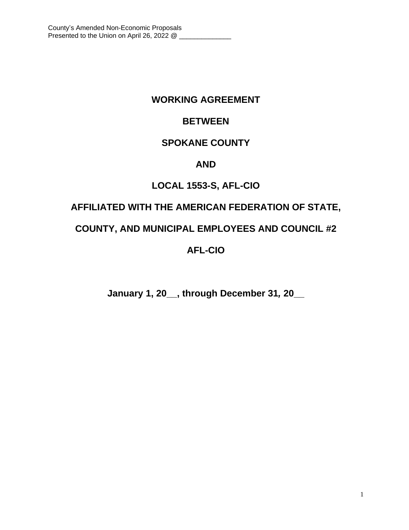# **WORKING AGREEMENT**

# **BETWEEN**

# **SPOKANE COUNTY**

# **AND**

# **LOCAL 1553-S, AFL-CIO**

# **AFFILIATED WITH THE AMERICAN FEDERATION OF STATE,**

# **COUNTY, AND MUNICIPAL EMPLOYEES AND COUNCIL #2**

# **AFL-CIO**

**January 1, 20\_\_, through December 31***,* **20\_\_**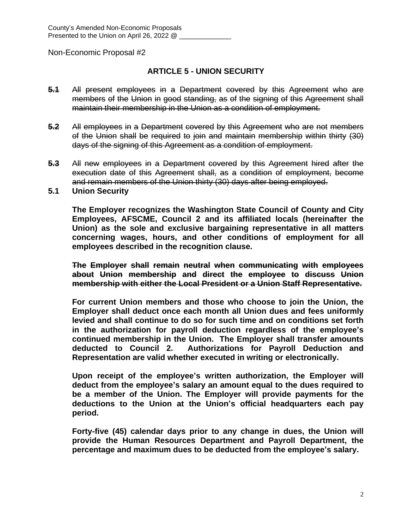## **ARTICLE 5 - UNION SECURITY**

- **5.1** All present employees in a Department covered by this Agreement who are members of the Union in good standing, as of the signing of this Agreement shall maintain their membership in the Union as a condition of employment.
- **5.2** All employees in a Department covered by this Agreement who are not members of the Union shall be required to join and maintain membership within thirty (30) days of the signing of this Agreement as a condition of employment.
- **5.3** All new employees in a Department covered by this Agreement hired after the execution date of this Agreement shall, as a condition of employment, become and remain members of the Union thirty (30) days after being employed.
- **5.1 Union Security**

**The Employer recognizes the Washington State Council of County and City Employees, AFSCME, Council 2 and its affiliated locals (hereinafter the Union) as the sole and exclusive bargaining representative in all matters concerning wages, hours, and other conditions of employment for all employees described in the recognition clause.**

**The Employer shall remain neutral when communicating with employees about Union membership and direct the employee to discuss Union membership with either the Local President or a Union Staff Representative.**

**For current Union members and those who choose to join the Union, the Employer shall deduct once each month all Union dues and fees uniformly levied and shall continue to do so for such time and on conditions set forth in the authorization for payroll deduction regardless of the employee's continued membership in the Union. The Employer shall transfer amounts deducted to Council 2. Authorizations for Payroll Deduction and Representation are valid whether executed in writing or electronically.**

**Upon receipt of the employee's written authorization, the Employer will deduct from the employee's salary an amount equal to the dues required to be a member of the Union. The Employer will provide payments for the deductions to the Union at the Union's official headquarters each pay period.** 

**Forty-five (45) calendar days prior to any change in dues, the Union will provide the Human Resources Department and Payroll Department, the percentage and maximum dues to be deducted from the employee's salary.**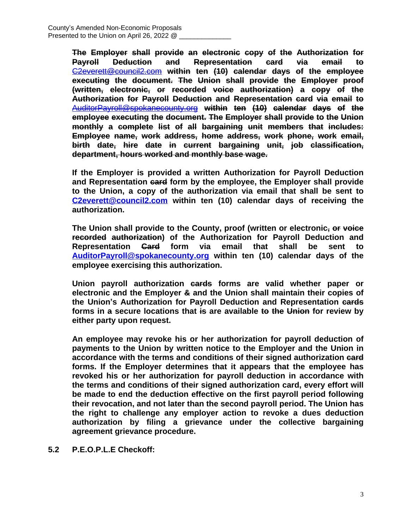**The Employer shall provide an electronic copy of the Authorization for Payroll Deduction and Representation card via email to** [C2everett@council2.com](mailto:C2everett@council2.com) **within ten (10) calendar days of the employee executing the document. The Union shall provide the Employer proof (written, electronic, or recorded voice authorization) a copy of the Authorization for Payroll Deduction and Representation card via email to** [AuditorPayroll@spokanecounty.org](mailto:AuditorPayroll@spokanecounty.org) **within ten (10) calendar days of the employee executing the document. The Employer shall provide to the Union monthly a complete list of all bargaining unit members that includes: Employee name, work address, home address, work phone, work email, birth date, hire date in current bargaining unit, job classification, department, hours worked and monthly base wage.**

**If the Employer is provided a written Authorization for Payroll Deduction and Representation card form by the employee, the Employer shall provide to the Union, a copy of the authorization via email that shall be sent to [C2everett@council2.com](mailto:C2everett@council2.com) within ten (10) calendar days of receiving the authorization.**

**The Union shall provide to the County, proof (written or electronic, or voice recorded authorization) of the Authorization for Payroll Deduction and Representation Card form via email that shall be sent to [AuditorPayroll@spokanecounty.org](mailto:AuditorPayroll@spokanecounty.org) within ten (10) calendar days of the employee exercising this authorization.**

**Union payroll authorization cards forms are valid whether paper or electronic and the Employer & and the Union shall maintain their copies of the Union's Authorization for Payroll Deduction and Representation cards forms in a secure locations that is are available to the Union for review by either party upon request.**

**An employee may revoke his or her authorization for payroll deduction of payments to the Union by written notice to the Employer and the Union in accordance with the terms and conditions of their signed authorization card forms. If the Employer determines that it appears that the employee has revoked his or her authorization for payroll deduction in accordance with the terms and conditions of their signed authorization card, every effort will be made to end the deduction effective on the first payroll period following their revocation, and not later than the second payroll period. The Union has the right to challenge any employer action to revoke a dues deduction authorization by filing a grievance under the collective bargaining agreement grievance procedure.**

**5.2 P.E.O.P.L.E Checkoff:**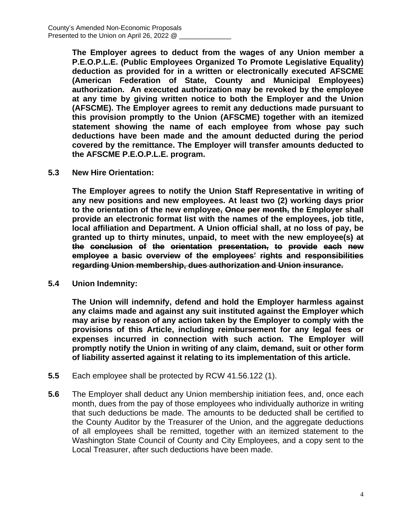**The Employer agrees to deduct from the wages of any Union member a P.E.O.P.L.E. (Public Employees Organized To Promote Legislative Equality) deduction as provided for in a written or electronically executed AFSCME (American Federation of State, County and Municipal Employees) authorization. An executed authorization may be revoked by the employee at any time by giving written notice to both the Employer and the Union (AFSCME). The Employer agrees to remit any deductions made pursuant to this provision promptly to the Union (AFSCME) together with an itemized statement showing the name of each employee from whose pay such deductions have been made and the amount deducted during the period covered by the remittance. The Employer will transfer amounts deducted to the AFSCME P.E.O.P.L.E. program.**

**5.3 New Hire Orientation:**

**The Employer agrees to notify the Union Staff Representative in writing of any new positions and new employees. At least two (2) working days prior to the orientation of the new employee, Once per month, the Employer shall provide an electronic format list with the names of the employees, job title, local affiliation and Department. A Union official shall, at no loss of pay, be granted up to thirty minutes, unpaid, to meet with the new employee(s) at the conclusion of the orientation presentation, to provide each new employee a basic overview of the employees' rights and responsibilities regarding Union membership, dues authorization and Union insurance.**

**5.4 Union Indemnity:**

**The Union will indemnify, defend and hold the Employer harmless against any claims made and against any suit instituted against the Employer which may arise by reason of any action taken by the Employer to comply with the provisions of this Article, including reimbursement for any legal fees or expenses incurred in connection with such action. The Employer will promptly notify the Union in writing of any claim, demand, suit or other form of liability asserted against it relating to its implementation of this article.**

- **5.5** Each employee shall be protected by RCW 41.56.122 (1).
- **5.6** The Employer shall deduct any Union membership initiation fees, and, once each month, dues from the pay of those employees who individually authorize in writing that such deductions be made. The amounts to be deducted shall be certified to the County Auditor by the Treasurer of the Union, and the aggregate deductions of all employees shall be remitted, together with an itemized statement to the Washington State Council of County and City Employees, and a copy sent to the Local Treasurer, after such deductions have been made.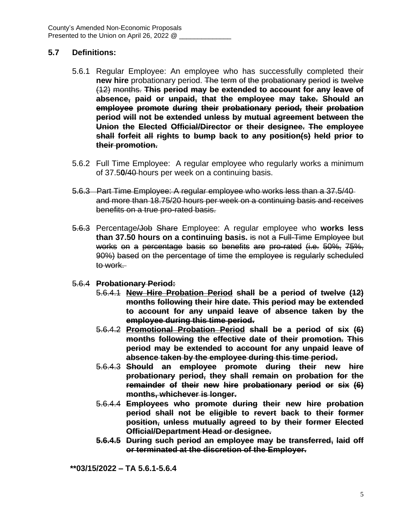## **5.7 Definitions:**

- 5.6.1 Regular Employee: An employee who has successfully completed their **new hire** probationary period. The term of the probationary period is twelve (12) months. **This period may be extended to account for any leave of absence, paid or unpaid, that the employee may take. Should an employee promote during their probationary period, their probation period will not be extended unless by mutual agreement between the Union the Elected Official/Director or their designee. The employee shall forfeit all rights to bump back to any position(s) held prior to their promotion.**
- 5.6.2 Full Time Employee: A regular employee who regularly works a minimum of 37.5**0**/40 hours per week on a continuing basis.
- 5.6.3 Part Time Employee: A regular employee who works less than a 37.5/40 and more than 18.75/20 hours per week on a continuing basis and receives benefits on a true pro-rated basis.
- 5.6.3 Percentage/Job Share Employee: A regular employee who **works less than 37.50 hours on a continuing basis.** is not a Full-Time Employee but works on a percentage basis so benefits are pro-rated (i.e. 50%, 75%, 90%) based on the percentage of time the employee is regularly scheduled to work.
- 5.6.4 **Probationary Period:**
	- 5.6.4.1 **New Hire Probation Period shall be a period of twelve (12) months following their hire date. This period may be extended to account for any unpaid leave of absence taken by the employee during this time period.**
	- 5.6.4.2 **Promotional Probation Period shall be a period of six (6) months following the effective date of their promotion. This period may be extended to account for any unpaid leave of absence taken by the employee during this time period.**
	- 5.6.4.3 **Should an employee promote during their new hire probationary period, they shall remain on probation for the remainder of their new hire probationary period or six (6) months, whichever is longer.**
	- 5.6.4.4 **Employees who promote during their new hire probation period shall not be eligible to revert back to their former position, unless mutually agreed to by their former Elected Official/Department Head or designee.**
	- **5.6.4.5 During such period an employee may be transferred, laid off or terminated at the discretion of the Employer.**

**\*\*03/15/2022 – TA 5.6.1-5.6.4**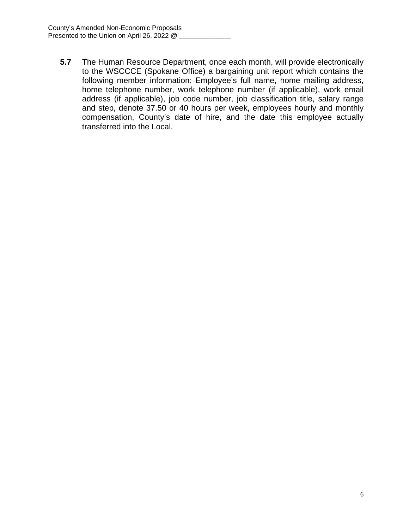**5.7** The Human Resource Department, once each month, will provide electronically to the WSCCCE (Spokane Office) a bargaining unit report which contains the following member information: Employee's full name, home mailing address, home telephone number, work telephone number (if applicable), work email address (if applicable), job code number, job classification title, salary range and step, denote 37.50 or 40 hours per week, employees hourly and monthly compensation, County's date of hire, and the date this employee actually transferred into the Local.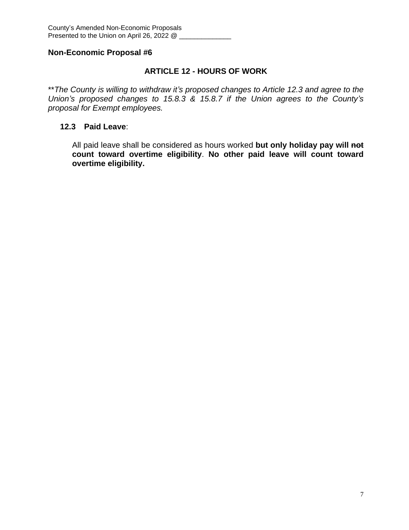## **ARTICLE 12 - HOURS OF WORK**

\*\**The County is willing to withdraw it's proposed changes to Article 12.3 and agree to the Union's proposed changes to 15.8.3 & 15.8.7 if the Union agrees to the County's proposal for Exempt employees.*

### **12.3 Paid Leave**:

All paid leave shall be considered as hours worked **but only holiday pay will not count toward overtime eligibility**. **No other paid leave will count toward overtime eligibility.**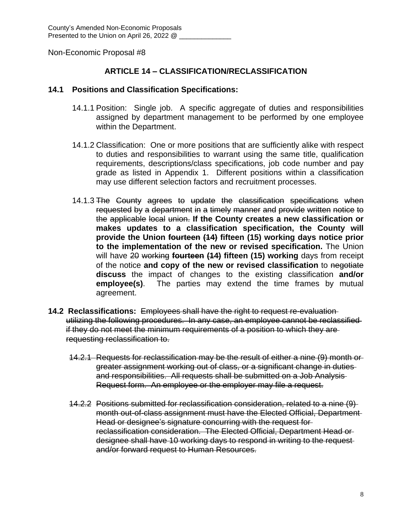## **ARTICLE 14 – CLASSIFICATION/RECLASSIFICATION**

#### **14.1 Positions and Classification Specifications:**

- 14.1.1 Position: Single job. A specific aggregate of duties and responsibilities assigned by department management to be performed by one employee within the Department.
- 14.1.2 Classification: One or more positions that are sufficiently alike with respect to duties and responsibilities to warrant using the same title, qualification requirements, descriptions/class specifications, job code number and pay grade as listed in Appendix 1. Different positions within a classification may use different selection factors and recruitment processes.
- 14.1.3 The County agrees to update the classification specifications when requested by a department in a timely manner and provide written notice to the applicable local union. **If the County creates a new classification or makes updates to a classification specification, the County will provide the Union fourteen (14) fifteen (15) working days notice prior to the implementation of the new or revised specification.** The Union will have 20 working **fourteen (14) fifteen (15) working** days from receipt of the notice **and copy of the new or revised classification** to negotiate **discuss** the impact of changes to the existing classification **and/or employee(s)**. The parties may extend the time frames by mutual agreement.
- **14.2 Reclassifications:** Employees shall have the right to request re-evaluation utilizing the following procedures. In any case, an employee cannot be reclassified if they do not meet the minimum requirements of a position to which they are requesting reclassification to.
	- 14.2.1 Requests for reclassification may be the result of either a nine (9) month or greater assignment working out of class, or a significant change in duties and responsibilities. All requests shall be submitted on a Job Analysis Request form. An employee or the employer may file a request.
	- 14.2.2 Positions submitted for reclassification consideration, related to a nine (9) month out-of-class assignment must have the Elected Official, Department Head or designee's signature concurring with the request for reclassification consideration. The Elected Official, Department Head or designee shall have 10 working days to respond in writing to the request and/or forward request to Human Resources.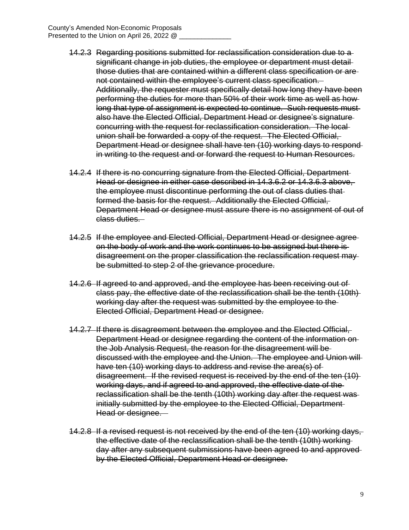- 14.2.3 Regarding positions submitted for reclassification consideration due to a significant change in job duties, the employee or department must detailthose duties that are contained within a different class specification or are not contained within the employee's current class specification. Additionally, the requester must specifically detail how long they have been performing the duties for more than 50% of their work time as well as how long that type of assignment is expected to continue. Such requests must also have the Elected Official, Department Head or designee's signature concurring with the request for reclassification consideration. The local union shall be forwarded a copy of the request. The Elected Official, Department Head or designee shall have ten (10) working days to respond in writing to the request and or forward the request to Human Resources.
- 14.2.4 If there is no concurring signature from the Elected Official, Department Head or designee in either case described in 14.3.6.2 or 14.3.6.3 above, the employee must discontinue performing the out of class duties that formed the basis for the request. Additionally the Elected Official, Department Head or designee must assure there is no assignment of out of class duties.
- 14.2.5 If the employee and Elected Official, Department Head or designee agree on the body of work and the work continues to be assigned but there is disagreement on the proper classification the reclassification request may be submitted to step 2 of the grievance procedure.
- 14.2.6 If agreed to and approved, and the employee has been receiving out of class pay, the effective date of the reclassification shall be the tenth (10th) working day after the request was submitted by the employee to the Elected Official, Department Head or designee.
- 14.2.7 If there is disagreement between the employee and the Elected Official, Department Head or designee regarding the content of the information on the Job Analysis Request, the reason for the disagreement will be discussed with the employee and the Union. The employee and Union will have ten (10) working days to address and revise the area(s) of disagreement. If the revised request is received by the end of the ten (10) working days, and if agreed to and approved, the effective date of the reclassification shall be the tenth (10th) working day after the request was initially submitted by the employee to the Elected Official, Department Head or designee.
- 14.2.8 If a revised request is not received by the end of the ten (10) working days, the effective date of the reclassification shall be the tenth (10th) working day after any subsequent submissions have been agreed to and approved by the Elected Official, Department Head or designee.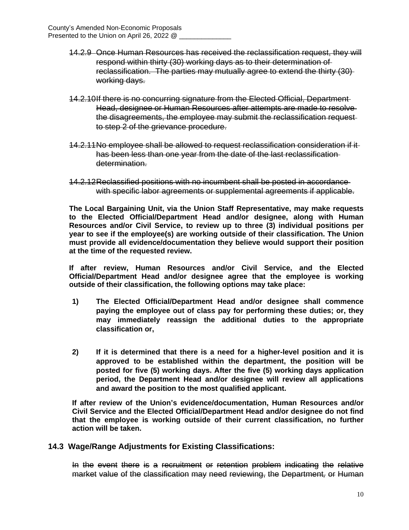- 14.2.9 Once Human Resources has received the reclassification request, they will respond within thirty (30) working days as to their determination of reclassification. The parties may mutually agree to extend the thirty (30) working days.
- 14.2.10If there is no concurring signature from the Elected Official, Department Head, designee or Human Resources after attempts are made to resolve the disagreements, the employee may submit the reclassification request to step 2 of the grievance procedure.
- 14.2.11No employee shall be allowed to request reclassification consideration if it has been less than one year from the date of the last reclassification determination.
- 14.2.12Reclassified positions with no incumbent shall be posted in accordance with specific labor agreements or supplemental agreements if applicable.

**The Local Bargaining Unit, via the Union Staff Representative, may make requests to the Elected Official/Department Head and/or designee, along with Human Resources and/or Civil Service, to review up to three (3) individual positions per year to see if the employee(s) are working outside of their classification. The Union must provide all evidence/documentation they believe would support their position at the time of the requested review.**

**If after review, Human Resources and/or Civil Service, and the Elected Official/Department Head and/or designee agree that the employee is working outside of their classification, the following options may take place:**

- **1) The Elected Official/Department Head and/or designee shall commence paying the employee out of class pay for performing these duties; or, they may immediately reassign the additional duties to the appropriate classification or,**
- **2) If it is determined that there is a need for a higher-level position and it is approved to be established within the department, the position will be posted for five (5) working days. After the five (5) working days application period, the Department Head and/or designee will review all applications and award the position to the most qualified applicant.**

**If after review of the Union's evidence/documentation, Human Resources and/or Civil Service and the Elected Official/Department Head and/or designee do not find that the employee is working outside of their current classification, no further action will be taken.** 

### **14.3 Wage/Range Adjustments for Existing Classifications:**

In the event there is a recruitment or retention problem indicating the relative market value of the classification may need reviewing, the Department*,* or Human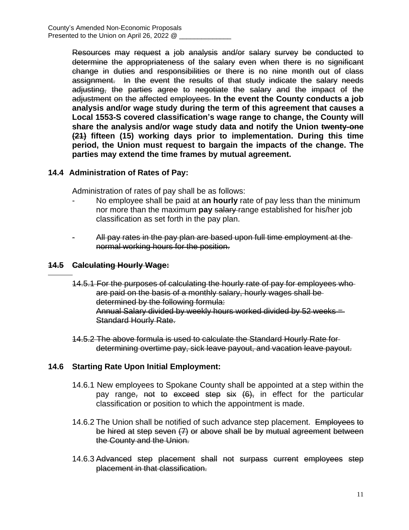Resources may request a job analysis and/or salary survey be conducted to determine the appropriateness of the salary even when there is no significant change in duties and responsibilities or there is no nine month out of class assignment. In the event the results of that study indicate the salary needs adjusting, the parties agree to negotiate the salary and the impact of the adjustment on the affected employees. **In the event the County conducts a job analysis and/or wage study during the term of this agreement that causes a Local 1553-S covered classification's wage range to change, the County will share the analysis and/or wage study data and notify the Union twenty-one (21) fifteen (15) working days prior to implementation. During this time period, the Union must request to bargain the impacts of the change. The parties may extend the time frames by mutual agreement.**

## **14.4 Administration of Rates of Pay:**

Administration of rates of pay shall be as follows:

- No employee shall be paid at a**n hourly** rate of pay less than the minimum nor more than the maximum **pay** salary range established for his/her job classification as set forth in the pay plan.
- All pay rates in the pay plan are based upon full time employment at the normal working hours for the position.

### **14.5 Calculating Hourly Wage:**

 $\overline{a}$ 

- 14.5.1 For the purposes of calculating the hourly rate of pay for employees who are paid on the basis of a monthly salary, hourly wages shall be determined by the following formula: Annual Salary divided by weekly hours worked divided by 52 weeks = Standard Hourly Rate.
- 14.5.2 The above formula is used to calculate the Standard Hourly Rate for determining overtime pay, sick leave payout, and vacation leave payout.

### **14.6 Starting Rate Upon Initial Employment:**

- 14.6.1 New employees to Spokane County shall be appointed at a step within the pay range, not to exceed step six  $(6)$ , in effect for the particular classification or position to which the appointment is made.
- 14.6.2 The Union shall be notified of such advance step placement. Employees to be hired at step seven (7) or above shall be by mutual agreement between the County and the Union.
- 14.6.3 Advanced step placement shall not surpass current employees step placement in that classification.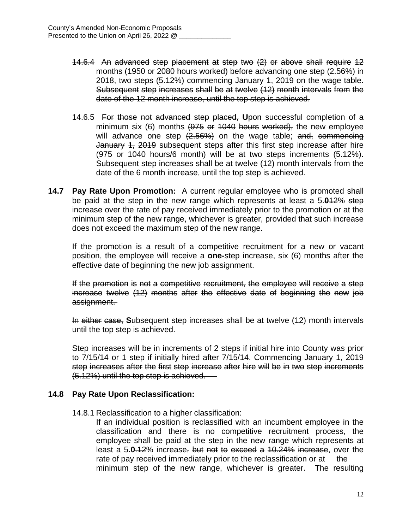- 14.6.4 An advanced step placement at step two (2) or above shall require 12 months (1950 or 2080 hours worked) before advancing one step (2.56%) in 2018, two steps (5.12%) commencing January 1, 2019 on the wage table. Subsequent step increases shall be at twelve (12) month intervals from the date of the 12 month increase, until the top step is achieved.
- 14.6.5 For those not advanced step placed, **U**pon successful completion of a minimum six (6) months (975 or 1040 hours worked), the new employee will advance one step  $(2.56%)$  on the wage table; and, commencing January 4, 2019 subsequent steps after this first step increase after hire  $(975$  or  $1040$  hours/6 month) will be at two steps increments  $(5.12\%)$ . Subsequent step increases shall be at twelve (12) month intervals from the date of the 6 month increase, until the top step is achieved.
- **14.7 Pay Rate Upon Promotion:** A current regular employee who is promoted shall be paid at the step in the new range which represents at least a 5.**0**12% step increase over the rate of pay received immediately prior to the promotion or at the minimum step of the new range, whichever is greater, provided that such increase does not exceed the maximum step of the new range.

If the promotion is a result of a competitive recruitment for a new or vacant position, the employee will receive a **one-**step increase, six (6) months after the effective date of beginning the new job assignment.

If the promotion is not a competitive recruitment, the employee will receive a step increase twelve (12) months after the effective date of beginning the new job assignment.

In either case, **S**ubsequent step increases shall be at twelve (12) month intervals until the top step is achieved.

Step increases will be in increments of 2 steps if initial hire into County was prior to 7/15/14 or 1 step if initially hired after 7/15/14. Commencing January 1, 2019 step increases after the first step increase after hire will be in two step increments (5.12%) until the top step is achieved.

## **14.8 Pay Rate Upon Reclassification:**

14.8.1 Reclassification to a higher classification:

If an individual position is reclassified with an incumbent employee in the classification and there is no competitive recruitment process, the employee shall be paid at the step in the new range which represents at least a 5**.0**.12% increase, but not to exceed a 10.24% increase, over the rate of pay received immediately prior to the reclassification or at the minimum step of the new range, whichever is greater. The resulting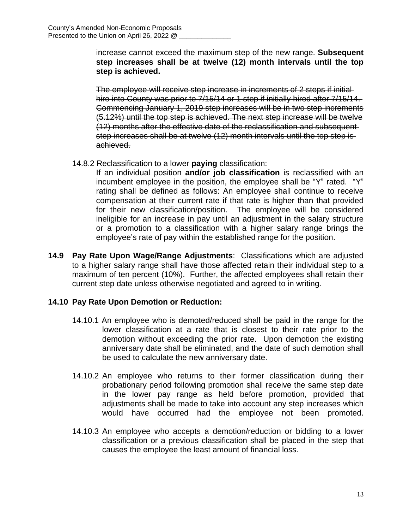increase cannot exceed the maximum step of the new range. **Subsequent step increases shall be at twelve (12) month intervals until the top step is achieved.**

The employee will receive step increase in increments of 2 steps if initial hire into County was prior to 7/15/14 or 1 step if initially hired after 7/15/14. Commencing January 1, 2019 step increases will be in two step increments (5.12%) until the top step is achieved. The next step increase will be twelve (12) months after the effective date of the reclassification and subsequent step increases shall be at twelve (12) month intervals until the top step is achieved.

14.8.2 Reclassification to a lower **paying** classification:

If an individual position **and/or job classification** is reclassified with an incumbent employee in the position, the employee shall be "Y" rated. "Y" rating shall be defined as follows: An employee shall continue to receive compensation at their current rate if that rate is higher than that provided for their new classification/position. The employee will be considered ineligible for an increase in pay until an adjustment in the salary structure or a promotion to a classification with a higher salary range brings the employee's rate of pay within the established range for the position.

**14.9 Pay Rate Upon Wage/Range Adjustments**: Classifications which are adjusted to a higher salary range shall have those affected retain their individual step to a maximum of ten percent (10%). Further, the affected employees shall retain their current step date unless otherwise negotiated and agreed to in writing.

# **14.10 Pay Rate Upon Demotion or Reduction:**

- 14.10.1 An employee who is demoted/reduced shall be paid in the range for the lower classification at a rate that is closest to their rate prior to the demotion without exceeding the prior rate. Upon demotion the existing anniversary date shall be eliminated, and the date of such demotion shall be used to calculate the new anniversary date.
- 14.10.2 An employee who returns to their former classification during their probationary period following promotion shall receive the same step date in the lower pay range as held before promotion, provided that adjustments shall be made to take into account any step increases which would have occurred had the employee not been promoted.
- 14.10.3 An employee who accepts a demotion/reduction or bidding to a lower classification or a previous classification shall be placed in the step that causes the employee the least amount of financial loss.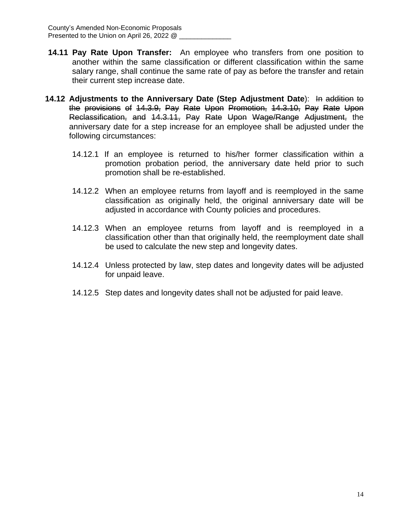- **14.11 Pay Rate Upon Transfer:** An employee who transfers from one position to another within the same classification or different classification within the same salary range, shall continue the same rate of pay as before the transfer and retain their current step increase date.
- **14.12 Adjustments to the Anniversary Date (Step Adjustment Date**): In addition to the provisions of 14.3.9, Pay Rate Upon Promotion, 14.3.10, Pay Rate Upon Reclassification, and 14.3.11, Pay Rate Upon Wage/Range Adjustment, the anniversary date for a step increase for an employee shall be adjusted under the following circumstances:
	- 14.12.1 If an employee is returned to his/her former classification within a promotion probation period, the anniversary date held prior to such promotion shall be re-established.
	- 14.12.2 When an employee returns from layoff and is reemployed in the same classification as originally held, the original anniversary date will be adjusted in accordance with County policies and procedures.
	- 14.12.3 When an employee returns from layoff and is reemployed in a classification other than that originally held, the reemployment date shall be used to calculate the new step and longevity dates.
	- 14.12.4 Unless protected by law, step dates and longevity dates will be adjusted for unpaid leave.
	- 14.12.5 Step dates and longevity dates shall not be adjusted for paid leave.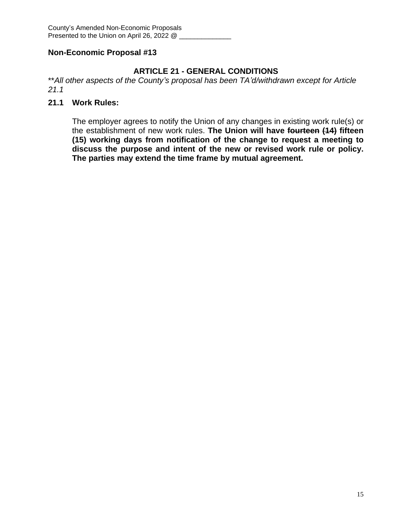# **ARTICLE 21 - GENERAL CONDITIONS**

\*\**All other aspects of the County's proposal has been TA'd/withdrawn except for Article 21.1*

## **21.1 Work Rules:**

The employer agrees to notify the Union of any changes in existing work rule(s) or the establishment of new work rules. **The Union will have fourteen (14) fifteen (15) working days from notification of the change to request a meeting to discuss the purpose and intent of the new or revised work rule or policy. The parties may extend the time frame by mutual agreement.**